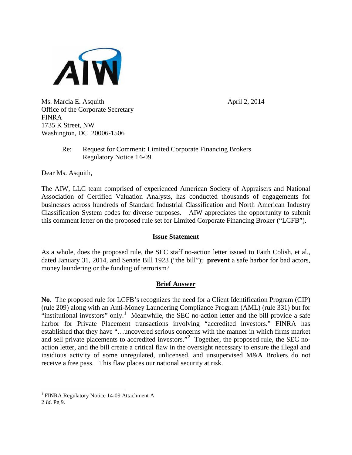

Ms. Marcia E. Asquith  $\frac{1}{2}$  April 2, 2014 Office of the Corporate Secretary FINRA 1735 K Street, NW Washington, DC 20006-1506

## Re: Request for Comment: Limited Corporate Financing Brokers Regulatory Notice 14-09

Dear Ms. Asquith,

The AIW, LLC team comprised of experienced American Society of Appraisers and National Association of Certified Valuation Analysts, has conducted thousands of engagements for businesses across hundreds of Standard Industrial Classification and North American Industry Classification System codes for diverse purposes. AIW appreciates the opportunity to submit this comment letter on the proposed rule set for Limited Corporate Financing Broker ("LCFB").

## **Issue Statement**

As a whole, does the proposed rule, the SEC staff no-action letter issued to Faith Colish, et al., dated January 31, 2014, and Senate Bill 1923 ("the bill"); **prevent** a safe harbor for bad actors, money laundering or the funding of terrorism?

## **Brief Answer**

**No**. The proposed rule for LCFB's recognizes the need for a Client Identification Program (CIP) (rule 209) along with an Anti-Money Laundering Compliance Program (AML) (rule 331) but for "institutional investors" only.<sup>[1](#page-0-0)</sup> Meanwhile, the SEC no-action letter and the bill provide a safe harbor for Private Placement transactions involving "accredited investors." FINRA has established that they have "…uncovered serious concerns with the manner in which firms market and sell private placements to accredited investors."<sup>[2](#page-0-1)</sup> Together, the proposed rule, the SEC noaction letter, and the bill create a critical flaw in the oversight necessary to ensure the illegal and insidious activity of some unregulated, unlicensed, and unsupervised M&A Brokers do not receive a free pass. This flaw places our national security at risk.

 $\overline{a}$ 

<sup>&</sup>lt;sup>1</sup> FINRA Regulatory Notice 14-09 Attachment A.

<span id="page-0-1"></span><span id="page-0-0"></span><sup>2</sup> *Id*. Pg 9.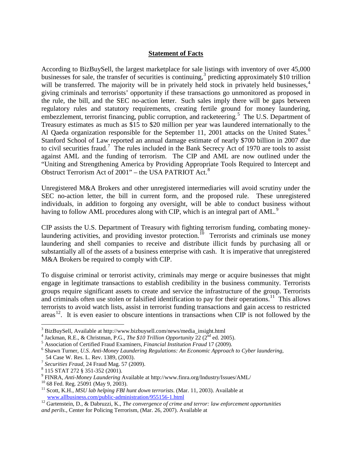#### **Statement of Facts**

According to BizBuySell, the largest marketplace for sale listings with inventory of over 45,000 businesses for sale, the transfer of securities is continuing,  $3$  predicting approximately \$10 trillion will be transferred. The majority will be in privately held stock in privately held businesses,<sup>[4](#page-1-0)</sup> giving criminals and terrorists' opportunity if these transactions go unmonitored as proposed in the rule, the bill, and the SEC no-action letter. Such sales imply there will be gaps between regulatory rules and statutory requirements, creating fertile ground for money laundering, embezzlement, terrorist financing, public corruption, and racketeering.<sup>[5](#page-1-0)</sup> The U.S. Department of Treasury estimates as much as \$15 to \$20 million per year was laundered internationally to the Al Qaeda organization responsible for the September 11, 2001 attacks on the United States.<sup>[6](#page-1-0)</sup> Stanford School of Law reported an annual damage estimate of nearly \$700 billion in 2007 due to civil securities fraud.<sup>[7](#page-1-0)</sup> The rules included in the Bank Secrecy Act of 1970 are tools to assist against AML and the funding of terrorism. The CIP and AML are now outlined under the "Uniting and Strengthening America by Providing Appropriate Tools Required to Intercept and Obstruct Terrorism Act of  $2001"$  – the USA PATRIOT Act.<sup>[8](#page-1-0)</sup>

Unregistered M&A Brokers and other unregistered intermediaries will avoid scrutiny under the SEC no-action letter, the bill in current form, and the proposed rule. These unregistered individuals, in addition to forgoing any oversight, will be able to conduct business without having to follow AML procedures along with CIP, which is an integral part of AML.<sup>[9](#page-1-0)</sup>

CIP assists the U.S. Department of Treasury with fighting terrorism funding, combating money-laundering activities, and providing investor protection.<sup>[10](#page-1-0)</sup> Terrorists and criminals use money laundering and shell companies to receive and distribute illicit funds by purchasing all or substantially all of the assets of a business enterprise with cash. It is imperative that unregistered M&A Brokers be required to comply with CIP.

To disguise criminal or terrorist activity, criminals may merge or acquire businesses that might engage in legitimate transactions to establish credibility in the business community. Terrorists groups require significant assets to create and service the infrastructure of the group. Terrorists and criminals often use stolen or falsified identification to pay for their operations.<sup>[11](#page-1-0)</sup> This allows terrorists to avoid watch lists, assist in terrorist funding transactions and gain access to restricted areas<sup>[12](#page-1-0)</sup>. It is even easier to obscure intentions in transactions when CIP is not followed by the

 $\overline{a}$ 

<span id="page-1-0"></span><sup>&</sup>lt;sup>3</sup> BizBuySell, Available at http://www.bizbuysell.com/news/media\_insight.html<br>
<sup>4</sup> Jackman, R.E., & Christman, P.G., *The \$10 Trillion Opportunity* 22 (2<sup>nd</sup> ed. 2005).<br>
<sup>5</sup> Association of Certified Fraud Examiners, *Fin* 

<sup>54</sup> Case W. Res. L. Rev. 1389, (2003).<br>
<sup>7</sup> Securities Fraud, 24 Fraud Mag. 57 (2009).<br>
<sup>8</sup> 115 STAT 272 § 351-352 (2001).<br>
<sup>9</sup> FINRA, *Anti-Money Laundering* Available at http://www.finra.org/Industry/Issues/AML/<br>
<sup>10</sup> 68

<sup>&</sup>lt;sup>12</sup> Gartenstein, D., & Dabruzzi, K., *The convergence of crime and terror: law enforcement opportunities and perils*., Center for Policing Terrorism, (Mar. 26, 2007). Available at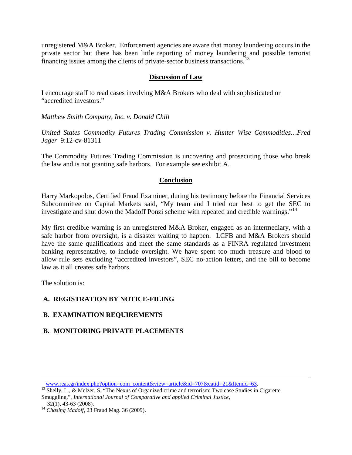unregistered M&A Broker. Enforcement agencies are aware that money laundering occurs in the private sector but there has been little reporting of money laundering and possible terrorist financing issues among the clients of private-sector business transactions.<sup>[13](#page-2-0)</sup>

#### **Discussion of Law**

I encourage staff to read cases involving M&A Brokers who deal with sophisticated or "accredited investors."

*Matthew Smith Company, Inc. v. Donald Chill*

*United States Commodity Futures Trading Commission v. Hunter Wise Commodities…Fred Jager* 9:12-cv-81311

The Commodity Futures Trading Commission is uncovering and prosecuting those who break the law and is not granting safe harbors. For example see exhibit A.

### **Conclusion**

Harry Markopolos, Certified Fraud Examiner, during his testimony before the Financial Services Subcommittee on Capital Markets said, "My team and I tried our best to get the SEC to investigate and shut down the Madoff Ponzi scheme with repeated and credible warnings."<sup>[14](#page-2-0)</sup>

My first credible warning is an unregistered M&A Broker, engaged as an intermediary, with a safe harbor from oversight, is a disaster waiting to happen. LCFB and M&A Brokers should have the same qualifications and meet the same standards as a FINRA regulated investment banking representative, to include oversight. We have spent too much treasure and blood to allow rule sets excluding "accredited investors", SEC no-action letters, and the bill to become law as it all creates safe harbors.

The solution is:

# **A. REGISTRATION BY NOTICE-FILING**

# **B. EXAMINATION REQUIREMENTS**

# **B. MONITORING PRIVATE PLACEMENTS**

 $\overline{a}$ 

<span id="page-2-0"></span>[www.reas.gr/index.php?option=com\\_content&view=article&id=707&catid=21&Itemid=63.](http://www.reas.gr/index.php?option=com_content&view=article&id=707&catid=21&Itemid=63)<br><sup>13</sup> Shelly, L., & Melzer, S, "The Nexus of Organized crime and terrorism: Two case Studies in Cigarette

Smuggling.", *International Journal of Comparative and applied Criminal Justice*,

 <sup>32(1), 43-63 (2008).</sup> <sup>14</sup> *Chasing Madoff*, 23 Fraud Mag. 36 (2009).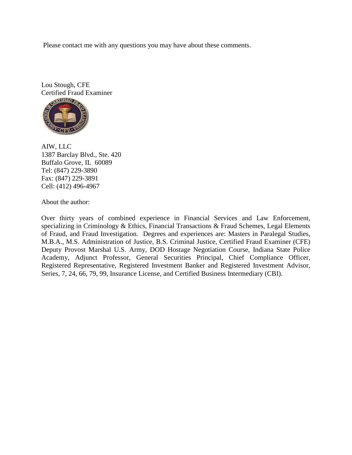Please contact me with any questions you may have about these comments.

Lou Stough, CFE Certified Fraud Examiner



AIW, LLC 1387 Barclay Blvd., Ste. 420 Buffalo Grove, IL 60089 Tel: (847) 229-3890 Fax: (847) 229-3891 Cell: (412) 496-4967

About the author:

Over thirty years of combined experience in Financial Services and Law Enforcement, specializing in Criminology & Ethics, Financial Transactions & Fraud Schemes, Legal Elements of Fraud, and Fraud Investigation. Degrees and experiences are: Masters in Paralegal Studies, M.B.A., M.S. Administration of Justice, B.S. Criminal Justice, Certified Fraud Examiner (CFE) Deputy Provost Marshal U.S. Army, DOD Hostage Negotiation Course, Indiana State Police Academy, Adjunct Professor, General Securities Principal, Chief Compliance Officer, Registered Representative, Registered Investment Banker and Registered Investment Advisor, Series, 7, 24, 66, 79, 99, Insurance License, and Certified Business Intermediary (CBI).